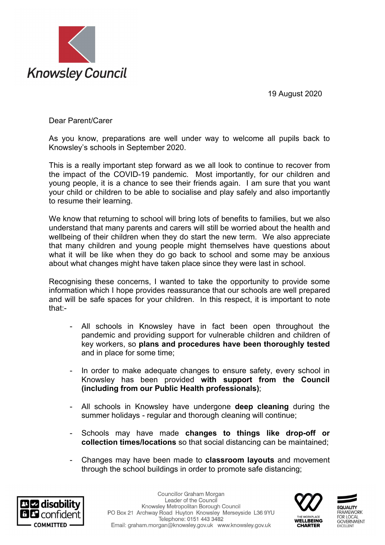19 August 2020



Dear Parent/Carer

As you know, preparations are well under way to welcome all pupils back to Knowsley's schools in September 2020.

This is a really important step forward as we all look to continue to recover from the impact of the COVID-19 pandemic. Most importantly, for our children and young people, it is a chance to see their friends again. I am sure that you want your child or children to be able to socialise and play safely and also importantly to resume their learning.

We know that returning to school will bring lots of benefits to families, but we also understand that many parents and carers will still be worried about the health and wellbeing of their children when they do start the new term. We also appreciate that many children and young people might themselves have questions about what it will be like when they do go back to school and some may be anxious about what changes might have taken place since they were last in school.

Recognising these concerns, I wanted to take the opportunity to provide some information which I hope provides reassurance that our schools are well prepared and will be safe spaces for your children. In this respect, it is important to note that:-

- All schools in Knowsley have in fact been open throughout the pandemic and providing support for vulnerable children and children of key workers, so **plans and procedures have been thoroughly tested** and in place for some time;
- In order to make adequate changes to ensure safety, every school in Knowsley has been provided **with support from the Council (including from our Public Health professionals)**;
- All schools in Knowsley have undergone **deep cleaning** during the summer holidays - regular and thorough cleaning will continue;
- Schools may have made **changes to things like drop-off or collection times/locations** so that social distancing can be maintained;
- Changes may have been made to **classroom layouts** and movement through the school buildings in order to promote safe distancing;